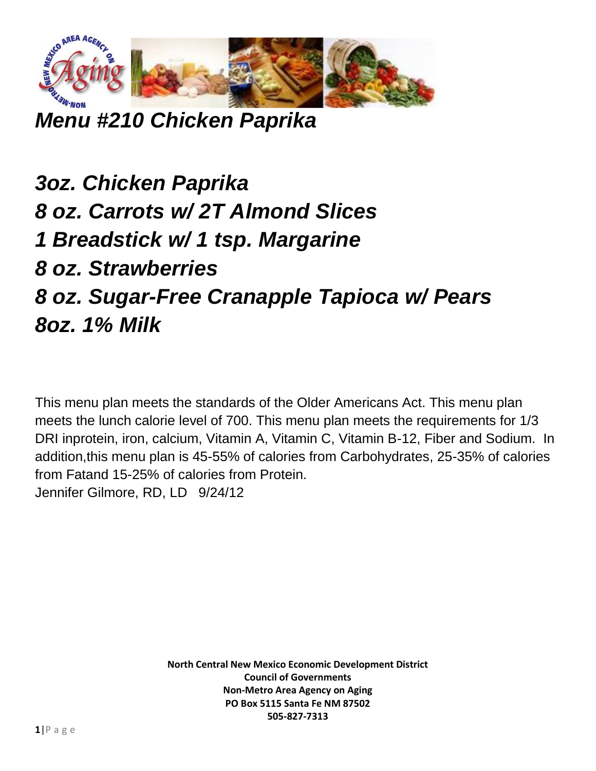

*Menu #210 Chicken Paprika*

*3oz. Chicken Paprika 8 oz. Carrots w/ 2T Almond Slices 1 Breadstick w/ 1 tsp. Margarine 8 oz. Strawberries 8 oz. Sugar-Free Cranapple Tapioca w/ Pears 8oz. 1% Milk*

This menu plan meets the standards of the Older Americans Act. This menu plan meets the lunch calorie level of 700. This menu plan meets the requirements for 1/3 DRI inprotein, iron, calcium, Vitamin A, Vitamin C, Vitamin B-12, Fiber and Sodium. In addition,this menu plan is 45-55% of calories from Carbohydrates, 25-35% of calories from Fatand 15-25% of calories from Protein. Jennifer Gilmore, RD, LD 9/24/12

> **North Central New Mexico Economic Development District Council of Governments Non-Metro Area Agency on Aging PO Box 5115 Santa Fe NM 87502 505-827-7313**